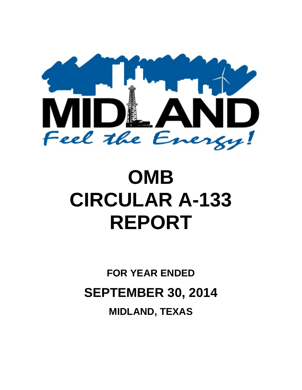

## **OMB CIRCULAR A-133 REPORT**

**FOR YEAR ENDED SEPTEMBER 30, 2014** 

**MIDLAND, TEXAS**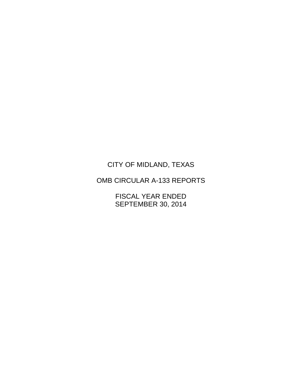### CITY OF MIDLAND, TEXAS

OMB CIRCULAR A-133 REPORTS

FISCAL YEAR ENDED SEPTEMBER 30, 2014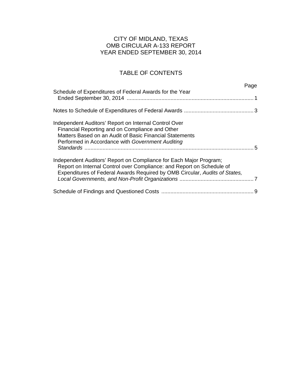#### CITY OF MIDLAND, TEXAS OMB CIRCULAR A-133 REPORT YEAR ENDED SEPTEMBER 30, 2014

### TABLE OF CONTENTS

|                                                                                                                                                                                                                                      | Page |
|--------------------------------------------------------------------------------------------------------------------------------------------------------------------------------------------------------------------------------------|------|
| Schedule of Expenditures of Federal Awards for the Year                                                                                                                                                                              |      |
|                                                                                                                                                                                                                                      |      |
| Independent Auditors' Report on Internal Control Over<br>Financial Reporting and on Compliance and Other<br>Matters Based on an Audit of Basic Financial Statements<br>Performed in Accordance with Government Auditing<br>Standards | 一    |
| Independent Auditors' Report on Compliance for Each Major Program;<br>Report on Internal Control over Compliance: and Report on Schedule of<br>Expenditures of Federal Awards Required by OMB Circular, Audits of States,            |      |
|                                                                                                                                                                                                                                      |      |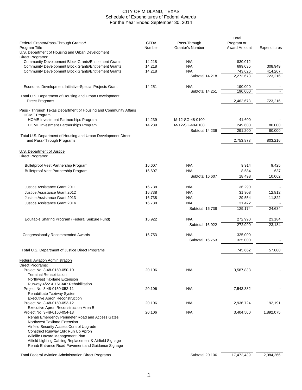#### CITY OF MIDLAND, TEXAS Schedule of Expenditures of Federal Awards For the Year Ended September 30, 2014

|                                                                           |             |                         | Total               |              |
|---------------------------------------------------------------------------|-------------|-------------------------|---------------------|--------------|
| Federal Grantor/Pass-Through Grantor/                                     | <b>CFDA</b> | Pass-Through            | Program or          |              |
| Program Title                                                             | Number      | <b>Grantor's Number</b> | <b>Award Amount</b> | Expenditures |
| U.S. Department of Housing and Urban Development                          |             |                         |                     |              |
| Direct Programs:                                                          |             |                         |                     |              |
| <b>Community Development Block Grants/Entitlement Grants</b>              | 14.218      | N/A                     | 830,012             |              |
| <b>Community Development Block Grants/Entitlement Grants</b>              | 14.218      | N/A                     | 699.035             | 308,949      |
| <b>Community Development Block Grants/Entitlement Grants</b>              | 14.218      | N/A                     | 743,626             | 414,267      |
|                                                                           |             | Subtotal 14.218         | 2,272,673           | 723,216      |
|                                                                           |             |                         |                     |              |
|                                                                           | 14.251      | N/A                     |                     |              |
| Economic Development Initiative-Special Projects Grant                    |             |                         | 190,000             |              |
|                                                                           |             | Subtotal 14.251         | 190,000             |              |
| Total U.S. Department of Housing and Urban Development<br>Direct Programs |             |                         | 2,462,673           | 723,216      |
| Pass - Through Texas Department of Housing and Community Affairs          |             |                         |                     |              |
| <b>HOME Program</b>                                                       |             |                         |                     |              |
| HOME Investment Partnerships Program                                      | 14.239      | M-12-SG-48-0100         | 41,600              |              |
| <b>HOME Investment Partnerships Program</b>                               | 14.239      | M-12-SG-48-0100         | 249,600             | 80,000       |
|                                                                           |             | Subtotal 14.239         | 291,200             | 80,000       |
| Total U.S. Department of Housing and Urban Development Direct             |             |                         |                     |              |
| and Pass-Through Programs                                                 |             |                         | 2,753,873           | 803,216      |
| U.S. Department of Justice                                                |             |                         |                     |              |
| Direct Programs:                                                          |             |                         |                     |              |
| Bulletproof Vest Partnership Program                                      | 16.607      | N/A                     | 9,914               | 9,425        |
|                                                                           |             |                         |                     |              |
| <b>Bulletproof Vest Partnership Program</b>                               | 16.607      | N/A                     | 8,584               | 637          |
|                                                                           |             | Subtotal 16.607         | 18,498              | 10,062       |
| Justice Assistance Grant 2011                                             | 16.738      | N/A                     | 36,290              |              |
| Justice Assistance Grant 2012                                             | 16.738      | N/A                     | 31,908              | 12,812       |
|                                                                           |             |                         |                     |              |
| Justice Assistance Grant 2013                                             | 16.738      | N/A                     | 29,554              | 11,822       |
| Justice Assistance Grant 2014                                             | 16.738      | N/A                     | 31,422              |              |
|                                                                           |             | Subtotal 16.738         | 129,174             | 24,634       |
| Equitable Sharing Program (Federal Seizure Fund)                          | 16.922      | N/A                     | 272,990             | 23,184       |
|                                                                           |             | Subtotal 16.922         | 272,990             | 23,184       |
|                                                                           |             |                         |                     |              |
| <b>Congressionally Recommended Awards</b>                                 | 16.753      | N/A                     | 325,000             |              |
|                                                                           |             | Subtotal 16.753         | 325,000             |              |
|                                                                           |             |                         |                     |              |
| Total U.S. Department of Justice Direct Programs                          |             |                         | 745,662             | 57,880       |
| <b>Federal Aviation Administration</b>                                    |             |                         |                     |              |
| Direct Programs:                                                          |             |                         |                     |              |
| Project No. 3-48-0150-050-10                                              | 20.106      | N/A                     | 3,587,833           |              |
| <b>Terminal Rehabilitation</b>                                            |             |                         |                     |              |
| Northwest Taxilane Extension                                              |             |                         |                     |              |
| Runway 4/22 & 16L34R Rehabilitation                                       |             |                         |                     |              |
| Project No. 3-48-0150-052-11                                              | 20.106      | N/A                     | 7,543,382           |              |
| Rehabilitate Taxiway System                                               |             |                         |                     |              |
| <b>Executive Apron Reconstruction</b>                                     |             |                         |                     |              |
| Project No. 3-48-0150-053-12                                              | 20.106      | N/A                     | 2,936,724           | 192,191      |
| Executive Apron Reconstruction Area B                                     |             |                         |                     |              |
| Project No. 3-48-0150-054-13                                              | 20.106      | N/A                     | 3,404,500           | 1,892,075    |
| Rehab Emergency Perimeter Road and Access Gates                           |             |                         |                     |              |
| Northwest Taxilane Extension                                              |             |                         |                     |              |
| Airfield Security Access Control Upgrade                                  |             |                         |                     |              |
| Construct Runway 16R Run Up Apron                                         |             |                         |                     |              |
| Wildlife Hazard Management Plan                                           |             |                         |                     |              |
| Aifield Lighting Cabling Replacement & Airfield Signage                   |             |                         |                     |              |
| Rehab Entrance Road Pavement and Guidance Signage                         |             |                         |                     |              |
| <b>Total Federal Aviation Administration Direct Programs</b>              |             | Subtotal 20.106         | 17,472,439          | 2,084,266    |
|                                                                           |             |                         |                     |              |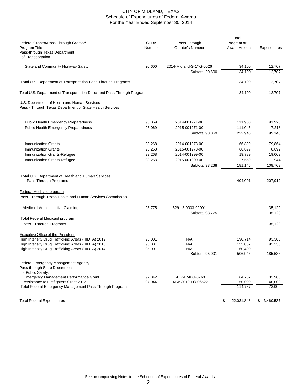#### CITY OF MIDLAND, TEXAS Schedule of Expenditures of Federal Awards For the Year Ended September 30, 2014

| Federal Grantor/Pass-Through Grantor/                                                                    | <b>CFDA</b> | Pass-Through            | Total<br>Program or |              |
|----------------------------------------------------------------------------------------------------------|-------------|-------------------------|---------------------|--------------|
| Program Title                                                                                            | Number      | <b>Grantor's Number</b> | Award Amount        | Expenditures |
| Pass-through Texas Department<br>of Transportation:                                                      |             |                         |                     |              |
| State and Community Highway Safety                                                                       | 20.600      | 2014-Midland-S-1YG-0026 | 34,100              | 12,707       |
|                                                                                                          |             | Subtotal 20.600         | 34,100              | 12,707       |
| Total U.S. Department of Transportation Pass-Through Programs                                            |             |                         | 34,100              | 12,707       |
| Total U.S. Department of Transportation Direct and Pass-Through Programs                                 |             |                         | 34,100              | 12,707       |
| U.S. Department of Health and Human Services<br>Pass - Through Texas Department of State Health Services |             |                         |                     |              |
| Public Health Emergency Preparedness                                                                     | 93.069      | 2014-001271-00          | 111,900             | 91,925       |
| <b>Public Health Emergency Preparedness</b>                                                              | 93.069      | 2015-001271-00          | 111,045             | 7,218        |
|                                                                                                          |             | Subtotal 93.069         | 222,945             | 99.143       |
| <b>Immunization Grants</b>                                                                               | 93.268      | 2014-001273-00          | 66,899              | 79,864       |
| <b>Immunization Grants</b>                                                                               | 93.268      | 2015-001273-00          | 66,899              | 8,892        |
| Immunization Grants-Refugee                                                                              | 93.268      | 2014-001299-00          | 19,789              | 19,069       |
| Immunization Grants-Refugee                                                                              | 93.268      | 2015-001299-00          | 27,559              | 944          |
|                                                                                                          |             | Subtotal 93.268         | 181,146             | 108.769      |
| Total U.S. Department of Health and Human Services<br>Pass-Through Programs                              |             |                         | 404,091             | 207,912      |
| Federal Medicaid program<br>Pass - Through Texas Health and Human Services Commission                    |             |                         |                     |              |
| Medicaid Administrative Claiming                                                                         | 93.775      | 529-13-0033-00001       |                     | 35,120       |
|                                                                                                          |             | Subtotal 93.775         |                     | 35,120       |
| Total Federal Medicaid program<br>Pass - Through Programs                                                |             |                         |                     | 35,120       |
| Executive Office of the President                                                                        |             |                         |                     |              |
| High Intensity Drug Trafficking Areas (HIDTA) 2012                                                       | 95.001      | N/A                     | 190,714             | 93,303       |
| High Intensity Drug Trafficking Areas (HIDTA) 2013                                                       | 95.001      | N/A                     | 155,832             | 92,233       |
| High Intensity Drug Trafficking Areas (HIDTA) 2014                                                       | 95.001      | N/A                     | 160,400             |              |
|                                                                                                          |             | Subtotal 95.001         | 506,946             | 185,536      |
| <b>Federal Emergency Management Agency</b><br>Pass-through State Department<br>of Public Safety:         |             |                         |                     |              |
| Emergency Management Performance Grant                                                                   | 97.042      | 14TX-EMPG-0763          | 64,737              | 33,900       |
| Assistance to Firefighters Grant 2012                                                                    | 97.044      | EMW-2012-FO-06522       | 50,000              | 40,000       |
| Total Federal Emergency Management Pass-Through Programs                                                 |             |                         | 114,737             | 73,900       |
| <b>Total Federal Expenditures</b>                                                                        |             |                         | \$<br>22,031,848    | \$3,460,537  |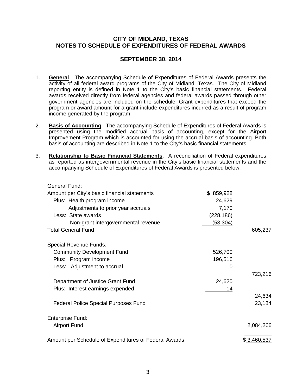#### **CITY OF MIDLAND, TEXAS NOTES TO SCHEDULE OF EXPENDITURES OF FEDERAL AWARDS**

#### **SEPTEMBER 30, 2014**

- 1. **General**. The accompanying Schedule of Expenditures of Federal Awards presents the activity of all federal award programs of the City of Midland, Texas. The City of Midland reporting entity is defined in Note 1 to the City's basic financial statements. Federal awards received directly from federal agencies and federal awards passed through other government agencies are included on the schedule. Grant expenditures that exceed the program or award amount for a grant include expenditures incurred as a result of program income generated by the program.
- 2. **Basis of Accounting**. The accompanying Schedule of Expenditures of Federal Awards is presented using the modified accrual basis of accounting, except for the Airport Improvement Program which is accounted for using the accrual basis of accounting. Both basis of accounting are described in Note 1 to the City's basic financial statements.
- 3. **Relationship to Basic Financial Statements**. A reconciliation of Federal expenditures as reported as intergovernmental revenue in the City's basic financial statements and the accompanying Schedule of Expenditures of Federal Awards is presented below:

| <b>General Fund:</b>                                  |            |                    |
|-------------------------------------------------------|------------|--------------------|
| Amount per City's basic financial statements          | \$859,928  |                    |
| Plus: Health program income                           | 24,629     |                    |
| Adjustments to prior year accruals                    | 7,170      |                    |
| Less: State awards                                    | (228, 186) |                    |
| Non-grant intergovernmental revenue                   | (53, 304)  |                    |
| <b>Total General Fund</b>                             |            | 605,237            |
| <b>Special Revenue Funds:</b>                         |            |                    |
| <b>Community Development Fund</b>                     | 526,700    |                    |
| Plus: Program income                                  | 196,516    |                    |
| Less: Adjustment to accrual                           | O          |                    |
|                                                       |            | 723,216            |
| Department of Justice Grant Fund                      | 24,620     |                    |
| Plus: Interest earnings expended                      | 14         |                    |
|                                                       |            | 24,634             |
| <b>Federal Police Special Purposes Fund</b>           |            | 23,184             |
| Enterprise Fund:                                      |            |                    |
| <b>Airport Fund</b>                                   |            | 2,084,266          |
| Amount per Schedule of Expenditures of Federal Awards |            | <u>\$3,460,537</u> |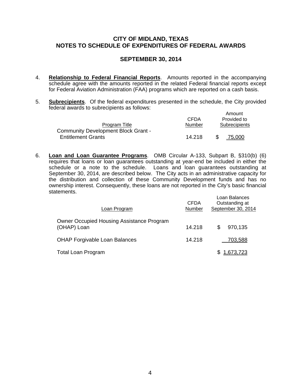#### **CITY OF MIDLAND, TEXAS NOTES TO SCHEDULE OF EXPENDITURES OF FEDERAL AWARDS**

#### **SEPTEMBER 30, 2014**

- 4. **Relationship to Federal Financial Reports**. Amounts reported in the accompanying schedule agree with the amounts reported in the related Federal financial reports except for Federal Aviation Administration (FAA) programs which are reported on a cash basis.
- 5. **Subrecipients**. Of the federal expenditures presented in the schedule, the City provided federal awards to subrecipients as follows:

|                                            |               |   | Amount               |
|--------------------------------------------|---------------|---|----------------------|
|                                            | CFDA          |   | Provided to          |
| Program Title                              | <b>Number</b> |   | <b>Subrecipients</b> |
| <b>Community Development Block Grant -</b> |               |   |                      |
| <b>Entitlement Grants</b>                  | 14.218        | S | 75.000               |

6. **Loan and Loan Guarantee Programs**. OMB Circular A-133, Subpart B, §310(b) (6) requires that loans or loan guarantees outstanding at year-end be included in either the schedule or a note to the schedule. Loans and loan guarantees outstanding at September 30, 2014, are described below. The City acts in an administrative capacity for the distribution and collection of these Community Development funds and has no ownership interest. Consequently, these loans are not reported in the City's basic financial statements. Loan Balances

| Loan Program                                             | <b>CFDA</b><br>Number | Loan Balances<br>Outstanding at<br>September 30, 2014 |
|----------------------------------------------------------|-----------------------|-------------------------------------------------------|
| Owner Occupied Housing Assistance Program<br>(OHAP) Loan | 14.218                | 970,135<br>S                                          |
| <b>OHAP Forgivable Loan Balances</b>                     | 14.218                | 703,588                                               |
| Total Loan Program                                       |                       | 1,673,723<br>S.                                       |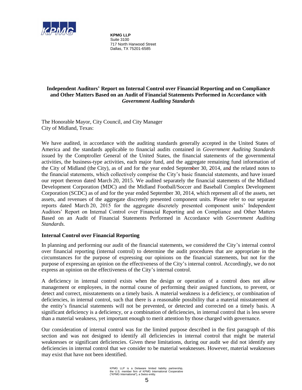

**KPMG LLP**  Suite 3100 717 North Harwood Street Dallas, TX 75201-6585

#### **Independent Auditors' Report on Internal Control over Financial Reporting and on Compliance and Other Matters Based on an Audit of Financial Statements Performed in Accordance with**  *Government Auditing Standards*

The Honorable Mayor, City Council, and City Manager City of Midland, Texas:

We have audited, in accordance with the auditing standards generally accepted in the United States of America and the standards applicable to financial audits contained in *Government Auditing Standards* issued by the Comptroller General of the United States, the financial statements of the governmental activities, the business-type activities, each major fund, and the aggregate remaining fund information of the City of Midland (the City), as of and for the year ended September 30, 2014, and the related notes to the financial statements, which collectively comprise the City's basic financial statements, and have issued our report thereon dated March 20, 2015. We audited separately the financial statements of the Midland Development Corporation (MDC) and the Midland Football/Soccer and Baseball Complex Development Corporation (SCDC) as of and for the year ended September 30, 2014, which represent all of the assets, net assets, and revenues of the aggregate discretely presented component units. Please refer to our separate reports dated March 20, 2015 for the aggregate discretely presented component units' Independent Auditors' Report on Internal Control over Financial Reporting and on Compliance and Other Matters Based on an Audit of Financial Statements Performed in Accordance with *Government Auditing Standards.*

#### **Internal Control over Financial Reporting**

In planning and performing our audit of the financial statements, we considered the City's internal control over financial reporting (internal control) to determine the audit procedures that are appropriate in the circumstances for the purpose of expressing our opinions on the financial statements, but not for the purpose of expressing an opinion on the effectiveness of the City's internal control. Accordingly, we do not express an opinion on the effectiveness of the City's internal control.

A deficiency in internal control exists when the design or operation of a control does not allow management or employees, in the normal course of performing their assigned functions, to prevent, or detect and correct, misstatements on a timely basis. A material weakness is a deficiency, or combination of deficiencies, in internal control, such that there is a reasonable possibility that a material misstatement of the entity's financial statements will not be prevented, or detected and corrected on a timely basis. A significant deficiency is a deficiency, or a combination of deficiencies, in internal control that is less severe than a material weakness, yet important enough to merit attention by those charged with governance.

Our consideration of internal control was for the limited purpose described in the first paragraph of this section and was not designed to identify all deficiencies in internal control that might be material weaknesses or significant deficiencies. Given these limitations, during our audit we did not identify any deficiencies in internal control that we consider to be material weaknesses. However, material weaknesses may exist that have not been identified.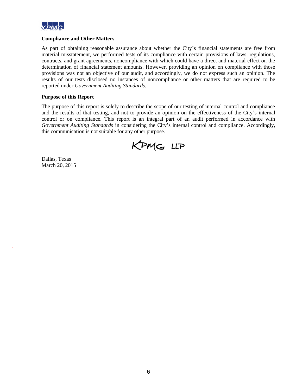

#### **Compliance and Other Matters**

As part of obtaining reasonable assurance about whether the City's financial statements are free from material misstatement, we performed tests of its compliance with certain provisions of laws, regulations, contracts, and grant agreements, noncompliance with which could have a direct and material effect on the determination of financial statement amounts. However, providing an opinion on compliance with those provisions was not an objective of our audit, and accordingly, we do not express such an opinion. The results of our tests disclosed no instances of noncompliance or other matters that are required to be reported under *Government Auditing Standards*.

#### **Purpose of this Report**

The purpose of this report is solely to describe the scope of our testing of internal control and compliance and the results of that testing, and not to provide an opinion on the effectiveness of the City's internal control or on compliance. This report is an integral part of an audit performed in accordance with *Government Auditing Standards* in considering the City's internal control and compliance. Accordingly, this communication is not suitable for any other purpose.

KPMG LLP

Dallas, Texas March 20, 2015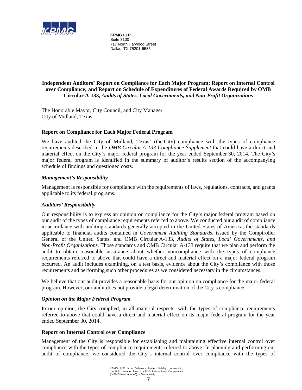

**KPMG LLP**  Suite 3100 717 North Harwood Street Dallas, TX 75201-6585

#### **Independent Auditors' Report on Compliance for Each Major Program; Report on Internal Control over Compliance; and Report on Schedule of Expenditures of Federal Awards Required by OMB Circular A-133,** *Audits of States, Local Governments, and Non-Profit Organizations*

The Honorable Mayor, City Council, and City Manager City of Midland, Texas:

#### **Report on Compliance for Each Major Federal Program**

We have audited the City of Midland, Texas' (the City) compliance with the types of compliance requirements described in the *OMB Circular A-133 Compliance Supplement* that could have a direct and material effect on the City's major federal program for the year ended September 30, 2014. The City's major federal program is identified in the summary of auditor's results section of the accompanying schedule of findings and questioned costs.

#### *Management's Responsibility*

Management is responsible for compliance with the requirements of laws, regulations, contracts, and grants applicable to its federal programs.

#### *Auditors' Responsibility*

Our responsibility is to express an opinion on compliance for the City's major federal program based on our audit of the types of compliance requirements referred to above. We conducted our audit of compliance in accordance with auditing standards generally accepted in the United States of America; the standards applicable to financial audits contained in *Government Auditing Standards*, issued by the Comptroller General of the United States; and OMB Circular A-133, *Audits of States, Local Governments, and Non-Profit Organizations*. Those standards and OMB Circular A-133 require that we plan and perform the audit to obtain reasonable assurance about whether noncompliance with the types of compliance requirements referred to above that could have a direct and material effect on a major federal program occurred. An audit includes examining, on a test basis, evidence about the City's compliance with those requirements and performing such other procedures as we considered necessary in the circumstances.

We believe that our audit provides a reasonable basis for our opinion on compliance for the major federal program. However, our audit does not provide a legal determination of the City's compliance.

#### *Opinion on the Major Federal Program*

In our opinion, the City complied, in all material respects, with the types of compliance requirements referred to above that could have a direct and material effect on its major federal program for the year ended September 30, 2014.

#### **Report on Internal Control over Compliance**

Management of the City is responsible for establishing and maintaining effective internal control over compliance with the types of compliance requirements referred to above. In planning and performing our audit of compliance, we considered the City's internal control over compliance with the types of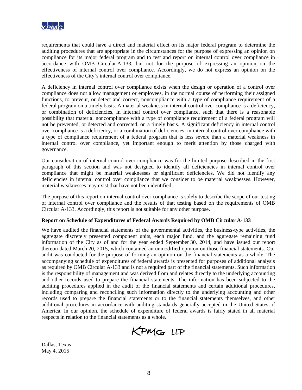

requirements that could have a direct and material effect on its major federal program to determine the auditing procedures that are appropriate in the circumstances for the purpose of expressing an opinion on compliance for its major federal program and to test and report on internal control over compliance in accordance with OMB Circular A-133, but not for the purpose of expressing an opinion on the effectiveness of internal control over compliance. Accordingly, we do not express an opinion on the effectiveness of the City's internal control over compliance.

A deficiency in internal control over compliance exists when the design or operation of a control over compliance does not allow management or employees, in the normal course of performing their assigned functions, to prevent, or detect and correct, noncompliance with a type of compliance requirement of a federal program on a timely basis. A material weakness in internal control over compliance is a deficiency, or combination of deficiencies, in internal control over compliance, such that there is a reasonable possibility that material noncompliance with a type of compliance requirement of a federal program will not be prevented, or detected and corrected, on a timely basis. A significant deficiency in internal control over compliance is a deficiency, or a combination of deficiencies, in internal control over compliance with a type of compliance requirement of a federal program that is less severe than a material weakness in internal control over compliance, yet important enough to merit attention by those charged with governance.

Our consideration of internal control over compliance was for the limited purpose described in the first paragraph of this section and was not designed to identify all deficiencies in internal control over compliance that might be material weaknesses or significant deficiencies. We did not identify any deficiencies in internal control over compliance that we consider to be material weaknesses. However, material weaknesses may exist that have not been identified.

The purpose of this report on internal control over compliance is solely to describe the scope of our testing of internal control over compliance and the results of that testing based on the requirements of OMB Circular A-133. Accordingly, this report is not suitable for any other purpose.

#### **Report on Schedule of Expenditures of Federal Awards Required by OMB Circular A-133**

We have audited the financial statements of the governmental activities, the business-type activities, the aggregate discretely presented component units, each major fund, and the aggregate remaining fund information of the City as of and for the year ended September 30, 2014, and have issued our report thereon dated March 20, 2015, which contained an unmodified opinion on those financial statements. Our audit was conducted for the purpose of forming an opinion on the financial statements as a whole. The accompanying schedule of expenditures of federal awards is presented for purposes of additional analysis as required by OMB Circular A-133 and is not a required part of the financial statements. Such information is the responsibility of management and was derived from and relates directly to the underlying accounting and other records used to prepare the financial statements. The information has been subjected to the auditing procedures applied in the audit of the financial statements and certain additional procedures, including comparing and reconciling such information directly to the underlying accounting and other records used to prepare the financial statements or to the financial statements themselves, and other additional procedures in accordance with auditing standards generally accepted in the United States of America. In our opinion, the schedule of expenditure of federal awards is fairly stated in all material respects in relation to the financial statements as a whole.

KPMG LLP

Dallas, Texas May 4, 2015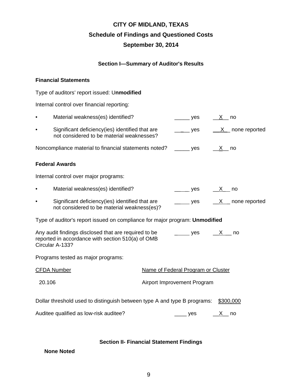## **CITY OF MIDLAND, TEXAS Schedule of Findings and Questioned Costs September 30, 2014**

#### **Section I—Summary of Auditor's Results**

#### **Financial Statements**

Type of auditors' report issued: U**nmodified**

Internal control over financial reporting:

| $\bullet$ | Material weakness(es) identified?                                                                                            |                                    | yes                      |       | $X$ no             |                                        |
|-----------|------------------------------------------------------------------------------------------------------------------------------|------------------------------------|--------------------------|-------|--------------------|----------------------------------------|
|           | Significant deficiency (ies) identified that are<br>not considered to be material weaknesses?                                |                                    | $\rule{1em}{0.15mm}$ yes |       |                    | $\underline{\mathsf{X}}$ none reported |
|           | Noncompliance material to financial statements noted? _______ yes ______X__ no                                               |                                    |                          |       |                    |                                        |
|           | <b>Federal Awards</b>                                                                                                        |                                    |                          |       |                    |                                        |
|           | Internal control over major programs:                                                                                        |                                    |                          |       |                    |                                        |
| $\bullet$ | Material weakness(es) identified?                                                                                            |                                    | $\rule{1em}{0.15mm}$ yes |       | $X_$ no            |                                        |
|           | Significant deficiency (ies) identified that are<br>not considered to be material weakness(es)?                              |                                    |                          | _ yes |                    | $X$ none reported                      |
|           | Type of auditor's report issued on compliance for major program: <b>Unmodified</b>                                           |                                    |                          |       |                    |                                        |
|           | Any audit findings disclosed that are required to be<br>reported in accordance with section 510(a) of OMB<br>Circular A-133? |                                    | $\frac{\ }{\ }$ yes      |       | $X \_$ no          |                                        |
|           | Programs tested as major programs:                                                                                           |                                    |                          |       |                    |                                        |
|           | <b>CFDA Number</b>                                                                                                           | Name of Federal Program or Cluster |                          |       |                    |                                        |
| 20.106    |                                                                                                                              | Airport Improvement Program        |                          |       |                    |                                        |
|           | Dollar threshold used to distinguish between type A and type B programs:                                                     |                                    |                          |       | \$300,000          |                                        |
|           | Auditee qualified as low-risk auditee?                                                                                       |                                    | $\rule{1em}{0.15mm}$ yes |       | $\frac{X}{100}$ no |                                        |

#### **Section II- Financial Statement Findings**

**None Noted**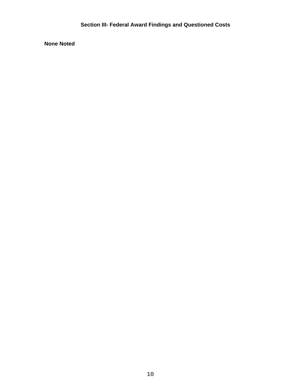**None Noted**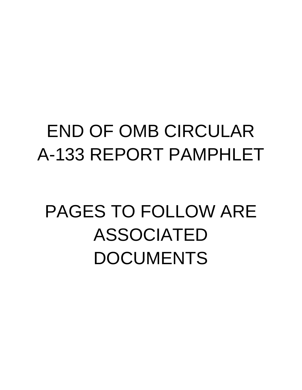## END OF OMB CIRCULAR A-133 REPORT PAMPHLET

# PAGES TO FOLLOW ARE ASSOCIATED DOCUMENTS